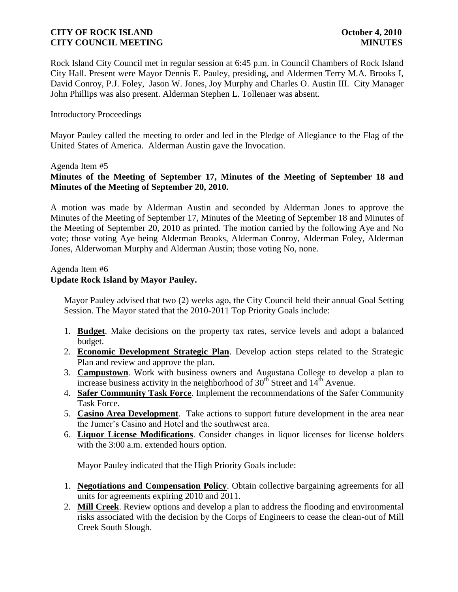Rock Island City Council met in regular session at 6:45 p.m. in Council Chambers of Rock Island City Hall. Present were Mayor Dennis E. Pauley, presiding, and Aldermen Terry M.A. Brooks I, David Conroy, P.J. Foley, Jason W. Jones, Joy Murphy and Charles O. Austin III. City Manager John Phillips was also present. Alderman Stephen L. Tollenaer was absent.

## Introductory Proceedings

Mayor Pauley called the meeting to order and led in the Pledge of Allegiance to the Flag of the United States of America. Alderman Austin gave the Invocation.

## Agenda Item #5

# **Minutes of the Meeting of September 17, Minutes of the Meeting of September 18 and Minutes of the Meeting of September 20, 2010.**

A motion was made by Alderman Austin and seconded by Alderman Jones to approve the Minutes of the Meeting of September 17, Minutes of the Meeting of September 18 and Minutes of the Meeting of September 20, 2010 as printed. The motion carried by the following Aye and No vote; those voting Aye being Alderman Brooks, Alderman Conroy, Alderman Foley, Alderman Jones, Alderwoman Murphy and Alderman Austin; those voting No, none.

#### Agenda Item #6

# **Update Rock Island by Mayor Pauley.**

 Mayor Pauley advised that two (2) weeks ago, the City Council held their annual Goal Setting Session. The Mayor stated that the 2010-2011 Top Priority Goals include:

- 1. **Budget**. Make decisions on the property tax rates, service levels and adopt a balanced budget.
- 2. **Economic Development Strategic Plan**. Develop action steps related to the Strategic Plan and review and approve the plan.
- 3. **Campustown**. Work with business owners and Augustana College to develop a plan to increase business activity in the neighborhood of  $30<sup>th</sup>$  Street and  $14<sup>th</sup>$  Avenue.
- 4. **Safer Community Task Force**. Implement the recommendations of the Safer Community Task Force.
- 5. **Casino Area Development**. Take actions to support future development in the area near the Jumer's Casino and Hotel and the southwest area.
- 6. **Liquor License Modifications**. Consider changes in liquor licenses for license holders with the 3:00 a.m. extended hours option.

Mayor Pauley indicated that the High Priority Goals include:

- 1. **Negotiations and Compensation Policy**. Obtain collective bargaining agreements for all units for agreements expiring 2010 and 2011.
- 2. **Mill Creek**. Review options and develop a plan to address the flooding and environmental risks associated with the decision by the Corps of Engineers to cease the clean-out of Mill Creek South Slough.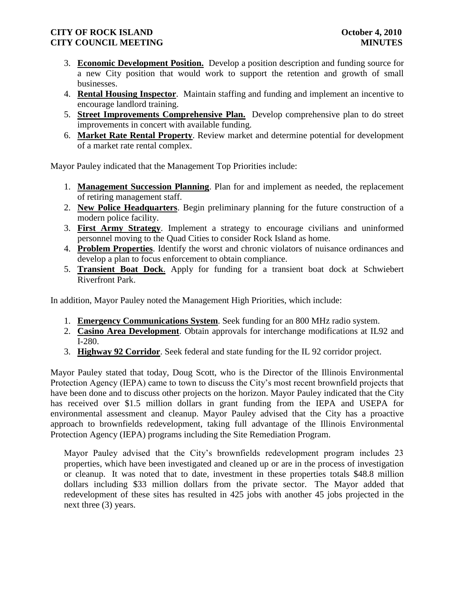- 3. **Economic Development Position.** Develop a position description and funding source for a new City position that would work to support the retention and growth of small businesses.
- 4. **Rental Housing Inspector**. Maintain staffing and funding and implement an incentive to encourage landlord training.
- 5. **Street Improvements Comprehensive Plan.** Develop comprehensive plan to do street improvements in concert with available funding.
- 6. **Market Rate Rental Property**. Review market and determine potential for development of a market rate rental complex.

Mayor Pauley indicated that the Management Top Priorities include:

- 1. **Management Succession Planning**. Plan for and implement as needed, the replacement of retiring management staff.
- 2. **New Police Headquarters**. Begin preliminary planning for the future construction of a modern police facility.
- 3. **First Army Strategy**. Implement a strategy to encourage civilians and uninformed personnel moving to the Quad Cities to consider Rock Island as home.
- 4. **Problem Properties**. Identify the worst and chronic violators of nuisance ordinances and develop a plan to focus enforcement to obtain compliance.
- 5. **Transient Boat Dock**. Apply for funding for a transient boat dock at Schwiebert Riverfront Park.

In addition, Mayor Pauley noted the Management High Priorities, which include:

- 1. **Emergency Communications System**. Seek funding for an 800 MHz radio system.
- 2. **Casino Area Development**. Obtain approvals for interchange modifications at IL92 and I-280.
- 3. **Highway 92 Corridor**. Seek federal and state funding for the IL 92 corridor project.

Mayor Pauley stated that today, Doug Scott, who is the Director of the Illinois Environmental Protection Agency (IEPA) came to town to discuss the City's most recent brownfield projects that have been done and to discuss other projects on the horizon. Mayor Pauley indicated that the City has received over \$1.5 million dollars in grant funding from the IEPA and USEPA for environmental assessment and cleanup. Mayor Pauley advised that the City has a proactive approach to brownfields redevelopment, taking full advantage of the Illinois Environmental Protection Agency (IEPA) programs including the Site Remediation Program.

 Mayor Pauley advised that the City's brownfields redevelopment program includes 23 properties, which have been investigated and cleaned up or are in the process of investigation or cleanup. It was noted that to date, investment in these properties totals \$48.8 million dollars including \$33 million dollars from the private sector. The Mayor added that redevelopment of these sites has resulted in 425 jobs with another 45 jobs projected in the next three (3) years.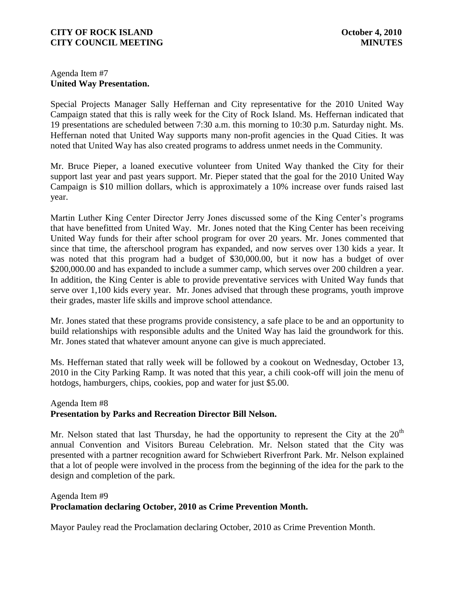# Agenda Item #7 **United Way Presentation.**

Special Projects Manager Sally Heffernan and City representative for the 2010 United Way Campaign stated that this is rally week for the City of Rock Island. Ms. Heffernan indicated that 19 presentations are scheduled between 7:30 a.m. this morning to 10:30 p.m. Saturday night. Ms. Heffernan noted that United Way supports many non-profit agencies in the Quad Cities. It was noted that United Way has also created programs to address unmet needs in the Community.

Mr. Bruce Pieper, a loaned executive volunteer from United Way thanked the City for their support last year and past years support. Mr. Pieper stated that the goal for the 2010 United Way Campaign is \$10 million dollars, which is approximately a 10% increase over funds raised last year.

Martin Luther King Center Director Jerry Jones discussed some of the King Center's programs that have benefitted from United Way. Mr. Jones noted that the King Center has been receiving United Way funds for their after school program for over 20 years. Mr. Jones commented that since that time, the afterschool program has expanded, and now serves over 130 kids a year. It was noted that this program had a budget of \$30,000.00, but it now has a budget of over \$200,000.00 and has expanded to include a summer camp, which serves over 200 children a year. In addition, the King Center is able to provide preventative services with United Way funds that serve over 1,100 kids every year. Mr. Jones advised that through these programs, youth improve their grades, master life skills and improve school attendance.

Mr. Jones stated that these programs provide consistency, a safe place to be and an opportunity to build relationships with responsible adults and the United Way has laid the groundwork for this. Mr. Jones stated that whatever amount anyone can give is much appreciated.

Ms. Heffernan stated that rally week will be followed by a cookout on Wednesday, October 13, 2010 in the City Parking Ramp. It was noted that this year, a chili cook-off will join the menu of hotdogs, hamburgers, chips, cookies, pop and water for just \$5.00.

## Agenda Item #8 **Presentation by Parks and Recreation Director Bill Nelson.**

Mr. Nelson stated that last Thursday, he had the opportunity to represent the City at the  $20<sup>th</sup>$ annual Convention and Visitors Bureau Celebration. Mr. Nelson stated that the City was presented with a partner recognition award for Schwiebert Riverfront Park. Mr. Nelson explained that a lot of people were involved in the process from the beginning of the idea for the park to the design and completion of the park.

#### Agenda Item #9 **Proclamation declaring October, 2010 as Crime Prevention Month.**

Mayor Pauley read the Proclamation declaring October, 2010 as Crime Prevention Month.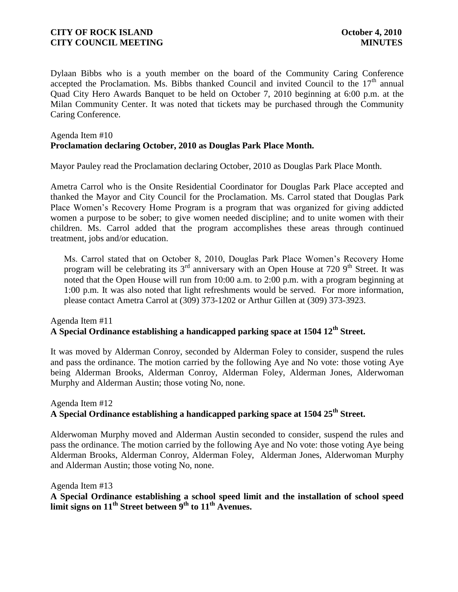Dylaan Bibbs who is a youth member on the board of the Community Caring Conference accepted the Proclamation. Ms. Bibbs thanked Council and invited Council to the  $17<sup>th</sup>$  annual Quad City Hero Awards Banquet to be held on October 7, 2010 beginning at 6:00 p.m. at the Milan Community Center. It was noted that tickets may be purchased through the Community Caring Conference.

## Agenda Item #10 **Proclamation declaring October, 2010 as Douglas Park Place Month.**

Mayor Pauley read the Proclamation declaring October, 2010 as Douglas Park Place Month.

Ametra Carrol who is the Onsite Residential Coordinator for Douglas Park Place accepted and thanked the Mayor and City Council for the Proclamation. Ms. Carrol stated that Douglas Park Place Women's Recovery Home Program is a program that was organized for giving addicted women a purpose to be sober; to give women needed discipline; and to unite women with their children. Ms. Carrol added that the program accomplishes these areas through continued treatment, jobs and/or education.

 Ms. Carrol stated that on October 8, 2010, Douglas Park Place Women's Recovery Home program will be celebrating its  $3<sup>rd</sup>$  anniversary with an Open House at 720 9<sup>th</sup> Street. It was noted that the Open House will run from 10:00 a.m. to 2:00 p.m. with a program beginning at 1:00 p.m. It was also noted that light refreshments would be served. For more information, please contact Ametra Carrol at (309) 373-1202 or Arthur Gillen at (309) 373-3923.

## Agenda Item #11 **A Special Ordinance establishing a handicapped parking space at 1504 12th Street.**

It was moved by Alderman Conroy, seconded by Alderman Foley to consider, suspend the rules and pass the ordinance. The motion carried by the following Aye and No vote: those voting Aye being Alderman Brooks, Alderman Conroy, Alderman Foley, Alderman Jones, Alderwoman Murphy and Alderman Austin; those voting No, none.

# Agenda Item #12 **A Special Ordinance establishing a handicapped parking space at 1504 25th Street.**

Alderwoman Murphy moved and Alderman Austin seconded to consider, suspend the rules and pass the ordinance. The motion carried by the following Aye and No vote: those voting Aye being Alderman Brooks, Alderman Conroy, Alderman Foley, Alderman Jones, Alderwoman Murphy and Alderman Austin; those voting No, none.

Agenda Item #13

**A Special Ordinance establishing a school speed limit and the installation of school speed limit signs on 11th Street between 9th to 11th Avenues.**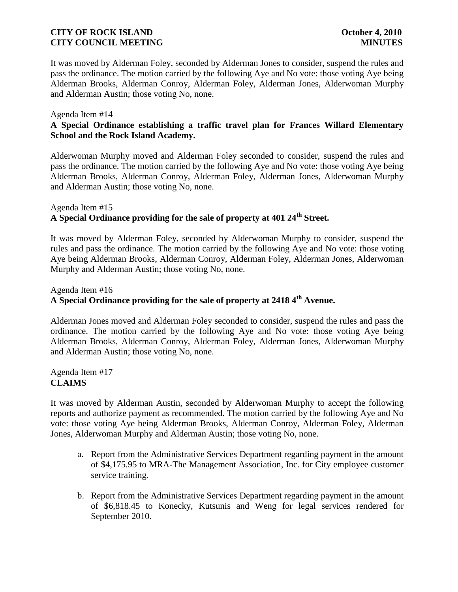It was moved by Alderman Foley, seconded by Alderman Jones to consider, suspend the rules and pass the ordinance. The motion carried by the following Aye and No vote: those voting Aye being Alderman Brooks, Alderman Conroy, Alderman Foley, Alderman Jones, Alderwoman Murphy and Alderman Austin; those voting No, none.

#### Agenda Item #14

# **A Special Ordinance establishing a traffic travel plan for Frances Willard Elementary School and the Rock Island Academy.**

Alderwoman Murphy moved and Alderman Foley seconded to consider, suspend the rules and pass the ordinance. The motion carried by the following Aye and No vote: those voting Aye being Alderman Brooks, Alderman Conroy, Alderman Foley, Alderman Jones, Alderwoman Murphy and Alderman Austin; those voting No, none.

# Agenda Item #15 **A Special Ordinance providing for the sale of property at 401 24th Street.**

It was moved by Alderman Foley, seconded by Alderwoman Murphy to consider, suspend the rules and pass the ordinance. The motion carried by the following Aye and No vote: those voting Aye being Alderman Brooks, Alderman Conroy, Alderman Foley, Alderman Jones, Alderwoman Murphy and Alderman Austin; those voting No, none.

# Agenda Item #16 **A Special Ordinance providing for the sale of property at 2418 4th Avenue.**

Alderman Jones moved and Alderman Foley seconded to consider, suspend the rules and pass the ordinance. The motion carried by the following Aye and No vote: those voting Aye being Alderman Brooks, Alderman Conroy, Alderman Foley, Alderman Jones, Alderwoman Murphy and Alderman Austin; those voting No, none.

Agenda Item #17 **CLAIMS**

It was moved by Alderman Austin, seconded by Alderwoman Murphy to accept the following reports and authorize payment as recommended. The motion carried by the following Aye and No vote: those voting Aye being Alderman Brooks, Alderman Conroy, Alderman Foley, Alderman Jones, Alderwoman Murphy and Alderman Austin; those voting No, none.

- a. Report from the Administrative Services Department regarding payment in the amount of \$4,175.95 to MRA-The Management Association, Inc. for City employee customer service training.
- b. Report from the Administrative Services Department regarding payment in the amount of \$6,818.45 to Konecky, Kutsunis and Weng for legal services rendered for September 2010.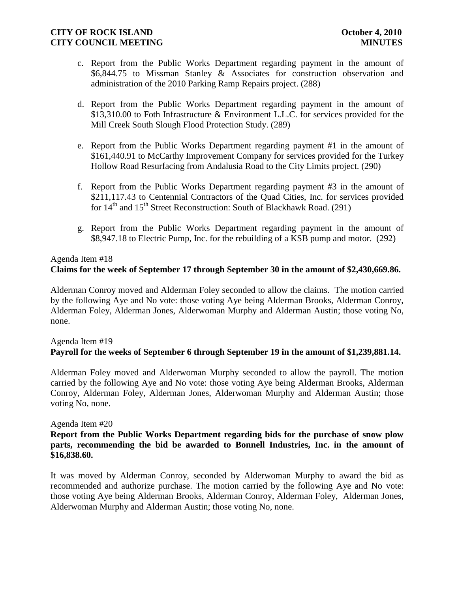- c. Report from the Public Works Department regarding payment in the amount of \$6,844.75 to Missman Stanley & Associates for construction observation and administration of the 2010 Parking Ramp Repairs project. (288)
- d. Report from the Public Works Department regarding payment in the amount of \$13,310.00 to Foth Infrastructure & Environment L.L.C. for services provided for the Mill Creek South Slough Flood Protection Study. (289)
- e. Report from the Public Works Department regarding payment #1 in the amount of \$161,440.91 to McCarthy Improvement Company for services provided for the Turkey Hollow Road Resurfacing from Andalusia Road to the City Limits project. (290)
- f. Report from the Public Works Department regarding payment #3 in the amount of \$211,117.43 to Centennial Contractors of the Quad Cities, Inc. for services provided for  $14<sup>th</sup>$  and  $15<sup>th</sup>$  Street Reconstruction: South of Blackhawk Road. (291)
- g. Report from the Public Works Department regarding payment in the amount of \$8,947.18 to Electric Pump, Inc. for the rebuilding of a KSB pump and motor. (292)

# Agenda Item #18 **Claims for the week of September 17 through September 30 in the amount of \$2,430,669.86.**

Alderman Conroy moved and Alderman Foley seconded to allow the claims. The motion carried by the following Aye and No vote: those voting Aye being Alderman Brooks, Alderman Conroy, Alderman Foley, Alderman Jones, Alderwoman Murphy and Alderman Austin; those voting No, none.

## Agenda Item #19

# **Payroll for the weeks of September 6 through September 19 in the amount of \$1,239,881.14.**

Alderman Foley moved and Alderwoman Murphy seconded to allow the payroll. The motion carried by the following Aye and No vote: those voting Aye being Alderman Brooks, Alderman Conroy, Alderman Foley, Alderman Jones, Alderwoman Murphy and Alderman Austin; those voting No, none.

## Agenda Item #20

## **Report from the Public Works Department regarding bids for the purchase of snow plow parts, recommending the bid be awarded to Bonnell Industries, Inc. in the amount of \$16,838.60.**

It was moved by Alderman Conroy, seconded by Alderwoman Murphy to award the bid as recommended and authorize purchase. The motion carried by the following Aye and No vote: those voting Aye being Alderman Brooks, Alderman Conroy, Alderman Foley, Alderman Jones, Alderwoman Murphy and Alderman Austin; those voting No, none.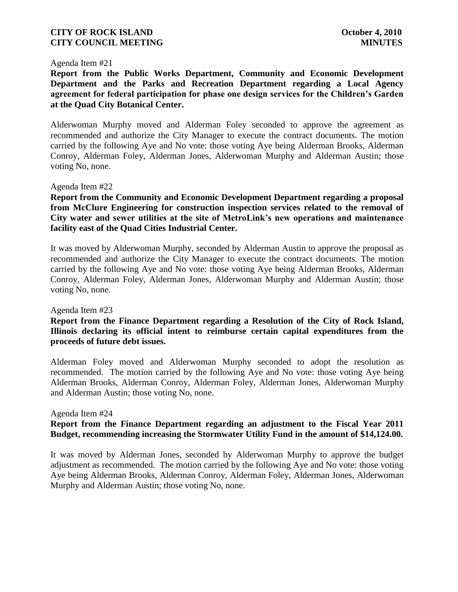#### Agenda Item #21

**Report from the Public Works Department, Community and Economic Development Department and the Parks and Recreation Department regarding a Local Agency agreement for federal participation for phase one design services for the Children's Garden at the Quad City Botanical Center.**

Alderwoman Murphy moved and Alderman Foley seconded to approve the agreement as recommended and authorize the City Manager to execute the contract documents. The motion carried by the following Aye and No vote: those voting Aye being Alderman Brooks, Alderman Conroy, Alderman Foley, Alderman Jones, Alderwoman Murphy and Alderman Austin; those voting No, none.

#### Agenda Item #22

**Report from the Community and Economic Development Department regarding a proposal from McClure Engineering for construction inspection services related to the removal of City water and sewer utilities at the site of MetroLink's new operations and maintenance facility east of the Quad Cities Industrial Center.**

It was moved by Alderwoman Murphy, seconded by Alderman Austin to approve the proposal as recommended and authorize the City Manager to execute the contract documents. The motion carried by the following Aye and No vote: those voting Aye being Alderman Brooks, Alderman Conroy, Alderman Foley, Alderman Jones, Alderwoman Murphy and Alderman Austin; those voting No, none.

#### Agenda Item #23

# **Report from the Finance Department regarding a Resolution of the City of Rock Island, Illinois declaring its official intent to reimburse certain capital expenditures from the proceeds of future debt issues.**

Alderman Foley moved and Alderwoman Murphy seconded to adopt the resolution as recommended. The motion carried by the following Aye and No vote: those voting Aye being Alderman Brooks, Alderman Conroy, Alderman Foley, Alderman Jones, Alderwoman Murphy and Alderman Austin; those voting No, none.

#### Agenda Item #24

## **Report from the Finance Department regarding an adjustment to the Fiscal Year 2011 Budget, recommending increasing the Stormwater Utility Fund in the amount of \$14,124.00.**

It was moved by Alderman Jones, seconded by Alderwoman Murphy to approve the budget adjustment as recommended. The motion carried by the following Aye and No vote: those voting Aye being Alderman Brooks, Alderman Conroy, Alderman Foley, Alderman Jones, Alderwoman Murphy and Alderman Austin; those voting No, none.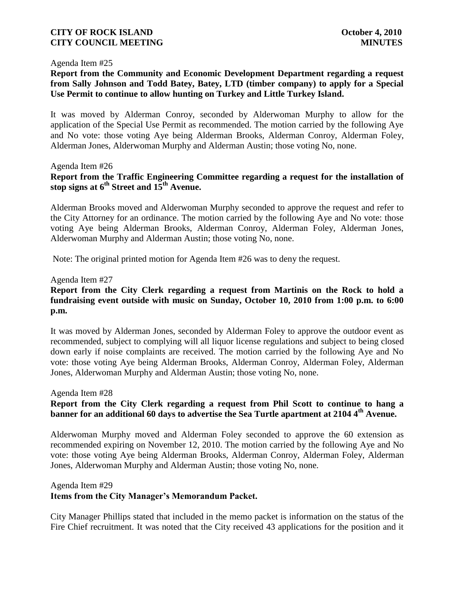# **CITY OF ROCK ISLAND October 4, 2010 CITY COUNCIL MEETING MINUTES**

#### Agenda Item #25

# **Report from the Community and Economic Development Department regarding a request from Sally Johnson and Todd Batey, Batey, LTD (timber company) to apply for a Special Use Permit to continue to allow hunting on Turkey and Little Turkey Island.**

It was moved by Alderman Conroy, seconded by Alderwoman Murphy to allow for the application of the Special Use Permit as recommended. The motion carried by the following Aye and No vote: those voting Aye being Alderman Brooks, Alderman Conroy, Alderman Foley, Alderman Jones, Alderwoman Murphy and Alderman Austin; those voting No, none.

#### Agenda Item #26

# **Report from the Traffic Engineering Committee regarding a request for the installation of stop signs at 6th Street and 15th Avenue.**

Alderman Brooks moved and Alderwoman Murphy seconded to approve the request and refer to the City Attorney for an ordinance. The motion carried by the following Aye and No vote: those voting Aye being Alderman Brooks, Alderman Conroy, Alderman Foley, Alderman Jones, Alderwoman Murphy and Alderman Austin; those voting No, none.

Note: The original printed motion for Agenda Item #26 was to deny the request.

#### Agenda Item #27

# **Report from the City Clerk regarding a request from Martinis on the Rock to hold a fundraising event outside with music on Sunday, October 10, 2010 from 1:00 p.m. to 6:00 p.m.**

It was moved by Alderman Jones, seconded by Alderman Foley to approve the outdoor event as recommended, subject to complying will all liquor license regulations and subject to being closed down early if noise complaints are received. The motion carried by the following Aye and No vote: those voting Aye being Alderman Brooks, Alderman Conroy, Alderman Foley, Alderman Jones, Alderwoman Murphy and Alderman Austin; those voting No, none.

#### Agenda Item #28

# **Report from the City Clerk regarding a request from Phil Scott to continue to hang a banner for an additional 60 days to advertise the Sea Turtle apartment at 2104 4th Avenue.**

Alderwoman Murphy moved and Alderman Foley seconded to approve the 60 extension as recommended expiring on November 12, 2010. The motion carried by the following Aye and No vote: those voting Aye being Alderman Brooks, Alderman Conroy, Alderman Foley, Alderman Jones, Alderwoman Murphy and Alderman Austin; those voting No, none.

#### Agenda Item #29

## **Items from the City Manager's Memorandum Packet.**

City Manager Phillips stated that included in the memo packet is information on the status of the Fire Chief recruitment. It was noted that the City received 43 applications for the position and it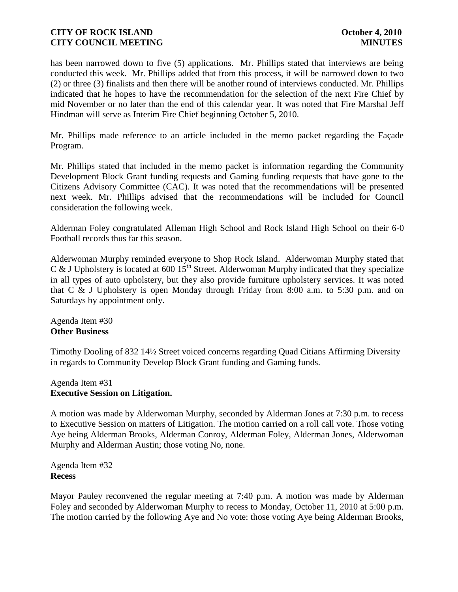has been narrowed down to five (5) applications. Mr. Phillips stated that interviews are being conducted this week. Mr. Phillips added that from this process, it will be narrowed down to two (2) or three (3) finalists and then there will be another round of interviews conducted. Mr. Phillips indicated that he hopes to have the recommendation for the selection of the next Fire Chief by mid November or no later than the end of this calendar year. It was noted that Fire Marshal Jeff Hindman will serve as Interim Fire Chief beginning October 5, 2010.

Mr. Phillips made reference to an article included in the memo packet regarding the Façade Program.

Mr. Phillips stated that included in the memo packet is information regarding the Community Development Block Grant funding requests and Gaming funding requests that have gone to the Citizens Advisory Committee (CAC). It was noted that the recommendations will be presented next week. Mr. Phillips advised that the recommendations will be included for Council consideration the following week.

Alderman Foley congratulated Alleman High School and Rock Island High School on their 6-0 Football records thus far this season.

Alderwoman Murphy reminded everyone to Shop Rock Island. Alderwoman Murphy stated that C & J Upholstery is located at 600  $15^{th}$  Street. Alderwoman Murphy indicated that they specialize in all types of auto upholstery, but they also provide furniture upholstery services. It was noted that C & J Upholstery is open Monday through Friday from 8:00 a.m. to 5:30 p.m. and on Saturdays by appointment only.

Agenda Item #30 **Other Business**

Timothy Dooling of 832 14½ Street voiced concerns regarding Quad Citians Affirming Diversity in regards to Community Develop Block Grant funding and Gaming funds.

## Agenda Item #31 **Executive Session on Litigation.**

A motion was made by Alderwoman Murphy, seconded by Alderman Jones at 7:30 p.m. to recess to Executive Session on matters of Litigation. The motion carried on a roll call vote. Those voting Aye being Alderman Brooks, Alderman Conroy, Alderman Foley, Alderman Jones, Alderwoman Murphy and Alderman Austin; those voting No, none.

Agenda Item #32 **Recess**

Mayor Pauley reconvened the regular meeting at 7:40 p.m. A motion was made by Alderman Foley and seconded by Alderwoman Murphy to recess to Monday, October 11, 2010 at 5:00 p.m. The motion carried by the following Aye and No vote: those voting Aye being Alderman Brooks,